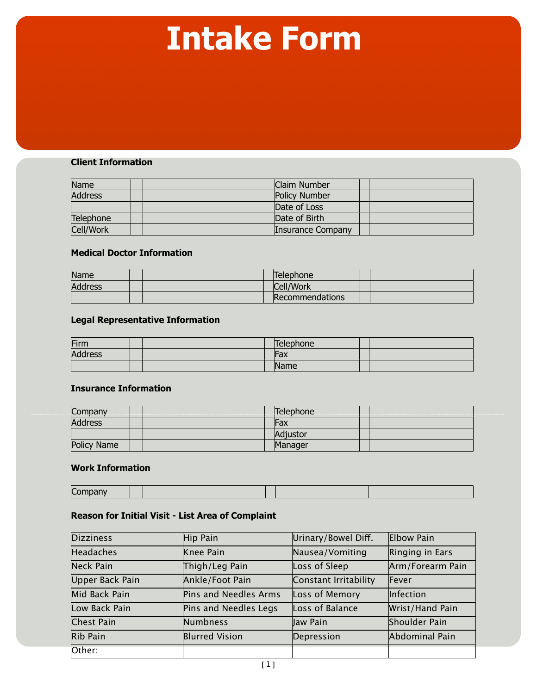# **Intake Form**

#### **Client Information**

| Name      |  | Claim Number      |  |
|-----------|--|-------------------|--|
| Address   |  | Policy Number     |  |
|           |  | Date of Loss      |  |
| Telephone |  | Date of Birth     |  |
| Cell/Work |  | Insurance Company |  |

### **Medical Doctor Information**

| Name    |  | Telephone <sup>®</sup> |  |
|---------|--|------------------------|--|
| Address |  | Cell/Work              |  |
|         |  | Recommendations        |  |

## **Legal Representative Information**

| Firm    |  | Telephone |  |
|---------|--|-----------|--|
| Address |  | Fax       |  |
|         |  | Name      |  |

#### **Insurance Information**

| Company     | Telephone |  |
|-------------|-----------|--|
| Address     | Fax       |  |
|             | Adjustor  |  |
| Policy Name | Manager   |  |

#### **Work Information**

| $\sim$ |  |  |  |
|--------|--|--|--|

### **Reason for Initial Visit - List Area of Complaint**

| <b>Dizziness</b> | Hip Pain              | Urinary/Bowel Diff.   | Elbow Pain       |
|------------------|-----------------------|-----------------------|------------------|
| <b>Headaches</b> | Knee Pain             | Nausea/Vomiting       | Ringing in Ears  |
| Neck Pain        | Thigh/Leg Pain        | Loss of Sleep         | Arm/Forearm Pain |
| Upper Back Pain  | Ankle/Foot Pain       | Constant Irritability | Fever            |
| Mid Back Pain    | Pins and Needles Arms | Loss of Memory        | Infection        |
| Low Back Pain    | Pins and Needles Legs | Loss of Balance       | Wrist/Hand Pain  |
| Chest Pain       | Numbness              | Jaw Pain              | Shoulder Pain    |
| Rib Pain         | <b>Blurred Vision</b> | Depression            | Abdominal Pain   |
| Other:           |                       |                       |                  |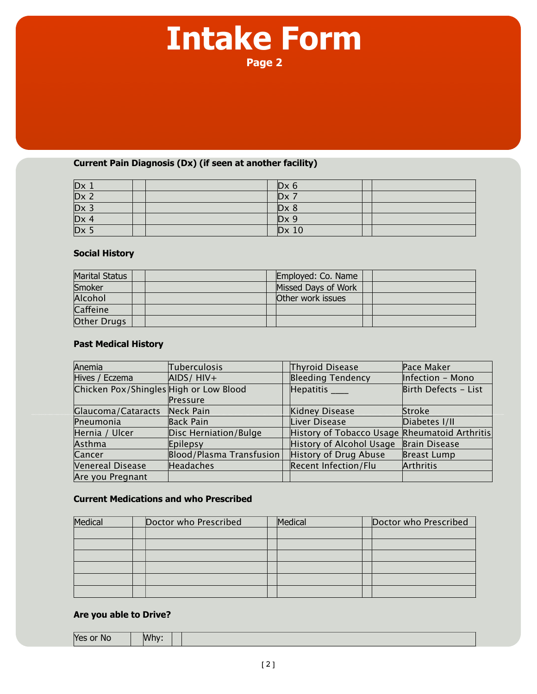# **Intake Form Page 2**

### **Current Pain Diagnosis (Dx) (if seen at another facility)**

|                   | $Dx$ 6       |  |
|-------------------|--------------|--|
| $\frac{Dx}{Dx}$ 2 | $Dx$ 7       |  |
| $Dx_3$            | $D \times 8$ |  |
| DX 4              | $Dx$ 9       |  |
| $Dx$ 5            | $Dx$ 10      |  |

### **Social History**

| Marital Status |  | Employed: Co. Name  |  |
|----------------|--|---------------------|--|
| Smoker         |  | Missed Days of Work |  |
| Alcohol        |  | Other work issues   |  |
| Caffeine       |  |                     |  |
| Other Drugs    |  |                     |  |

# **Past Medical History**

| Anemia                                 | Tuberculosis             | Thyroid Disease                               | Pace Maker           |
|----------------------------------------|--------------------------|-----------------------------------------------|----------------------|
| Hives / Eczema                         | $AIDS/HIV+$              | <b>Bleeding Tendency</b>                      | Infection - Mono     |
| Chicken Pox/Shingles High or Low Blood |                          | Hepatitis ____                                | Birth Defects - List |
|                                        | Pressure                 |                                               |                      |
| Glaucoma/Cataracts                     | Neck Pain                | Kidney Disease                                | Stroke               |
| Pneumonia                              | Back Pain                | Liver Disease                                 | Diabetes I/II        |
| Hernia / Ulcer                         | Disc Herniation/Bulge    | History of Tobacco Usage Rheumatoid Arthritis |                      |
| Asthma                                 | Epilepsy                 | History of Alcohol Usage                      | Brain Disease        |
| Cancer                                 | Blood/Plasma Transfusion | History of Drug Abuse                         | Breast Lump          |
| Venereal Disease                       | Headaches                | Recent Infection/Flu                          | Arthritis            |
| Are you Pregnant                       |                          |                                               |                      |

#### **Current Medications and who Prescribed**

| Medical | Doctor who Prescribed | Medical | Doctor who Prescribed |
|---------|-----------------------|---------|-----------------------|
|         |                       |         |                       |
|         |                       |         |                       |
|         |                       |         |                       |
|         |                       |         |                       |
|         |                       |         |                       |
|         |                       |         |                       |

## **Are you able to Drive?**